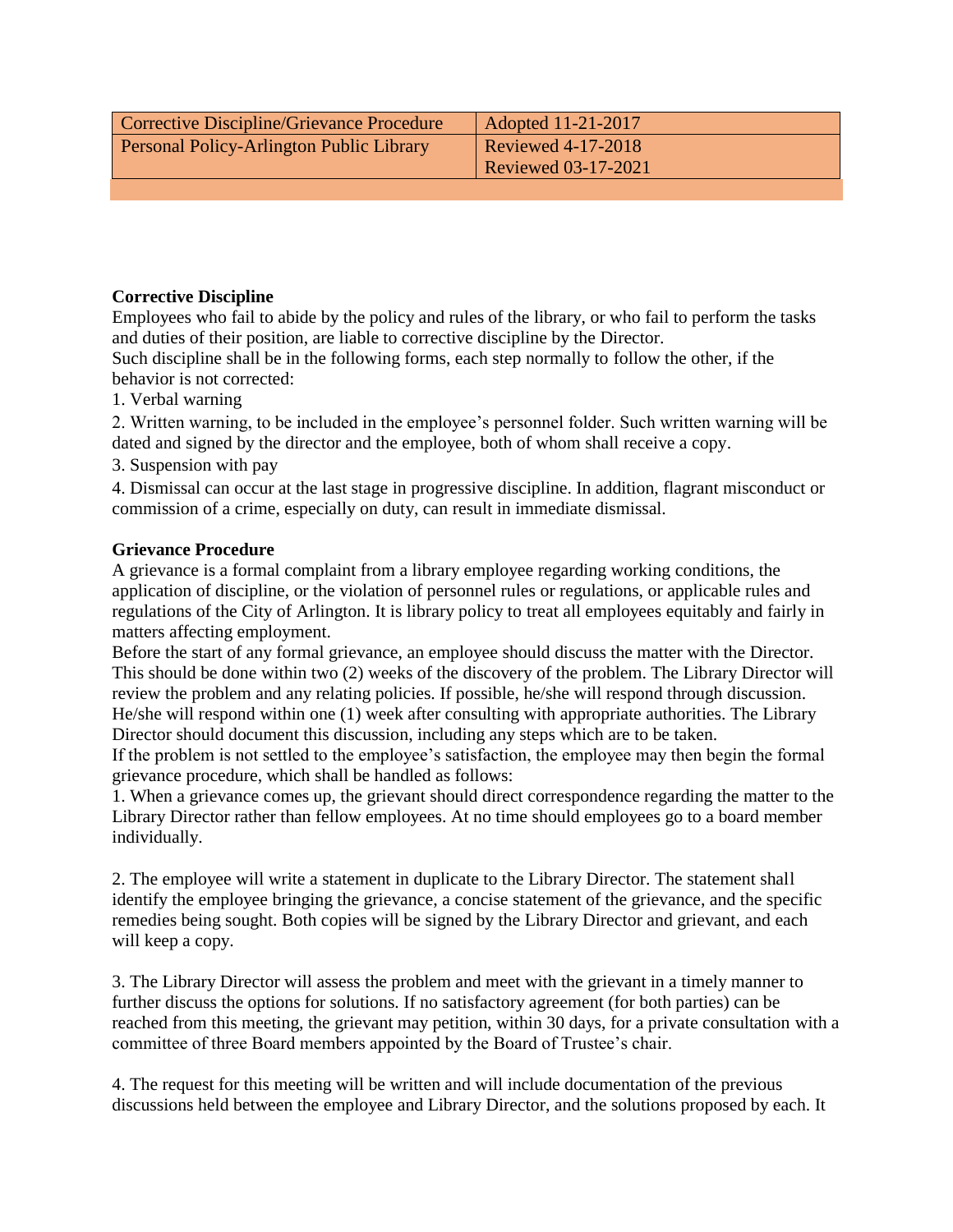| Corrective Discipline/Grievance Procedure       | Adopted 11-21-2017         |
|-------------------------------------------------|----------------------------|
| <b>Personal Policy-Arlington Public Library</b> | <b>Reviewed 4-17-2018</b>  |
|                                                 | <b>Reviewed 03-17-2021</b> |

## **Corrective Discipline**

Employees who fail to abide by the policy and rules of the library, or who fail to perform the tasks and duties of their position, are liable to corrective discipline by the Director.

Such discipline shall be in the following forms, each step normally to follow the other, if the behavior is not corrected:

1. Verbal warning

2. Written warning, to be included in the employee's personnel folder. Such written warning will be dated and signed by the director and the employee, both of whom shall receive a copy.

3. Suspension with pay

4. Dismissal can occur at the last stage in progressive discipline. In addition, flagrant misconduct or commission of a crime, especially on duty, can result in immediate dismissal.

## **Grievance Procedure**

A grievance is a formal complaint from a library employee regarding working conditions, the application of discipline, or the violation of personnel rules or regulations, or applicable rules and regulations of the City of Arlington. It is library policy to treat all employees equitably and fairly in matters affecting employment.

Before the start of any formal grievance, an employee should discuss the matter with the Director. This should be done within two (2) weeks of the discovery of the problem. The Library Director will review the problem and any relating policies. If possible, he/she will respond through discussion. He/she will respond within one (1) week after consulting with appropriate authorities. The Library Director should document this discussion, including any steps which are to be taken.

If the problem is not settled to the employee's satisfaction, the employee may then begin the formal grievance procedure, which shall be handled as follows:

1. When a grievance comes up, the grievant should direct correspondence regarding the matter to the Library Director rather than fellow employees. At no time should employees go to a board member individually.

2. The employee will write a statement in duplicate to the Library Director. The statement shall identify the employee bringing the grievance, a concise statement of the grievance, and the specific remedies being sought. Both copies will be signed by the Library Director and grievant, and each will keep a copy.

3. The Library Director will assess the problem and meet with the grievant in a timely manner to further discuss the options for solutions. If no satisfactory agreement (for both parties) can be reached from this meeting, the grievant may petition, within 30 days, for a private consultation with a committee of three Board members appointed by the Board of Trustee's chair.

4. The request for this meeting will be written and will include documentation of the previous discussions held between the employee and Library Director, and the solutions proposed by each. It